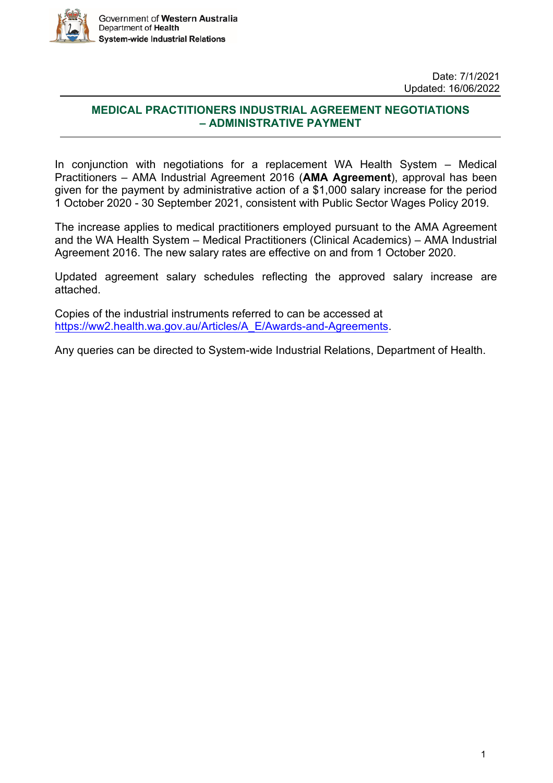

### **MEDICAL PRACTITIONERS INDUSTRIAL AGREEMENT NEGOTIATIONS – ADMINISTRATIVE PAYMENT**

In conjunction with negotiations for a replacement WA Health System – Medical Practitioners – AMA Industrial Agreement 2016 (**AMA Agreement**), approval has been given for the payment by administrative action of a \$1,000 salary increase for the period 1 October 2020 - 30 September 2021, consistent with Public Sector Wages Policy 2019.

The increase applies to medical practitioners employed pursuant to the AMA Agreement and the WA Health System – Medical Practitioners (Clinical Academics) – AMA Industrial Agreement 2016. The new salary rates are effective on and from 1 October 2020.

Updated agreement salary schedules reflecting the approved salary increase are attached.

Copies of the industrial instruments referred to can be accessed at [https://ww2.health.wa.gov.au/Articles/A\\_E/Awards-and-Agreements.](https://ww2.health.wa.gov.au/Articles/A_E/Awards-and-Agreements)

Any queries can be directed to System-wide Industrial Relations, Department of Health.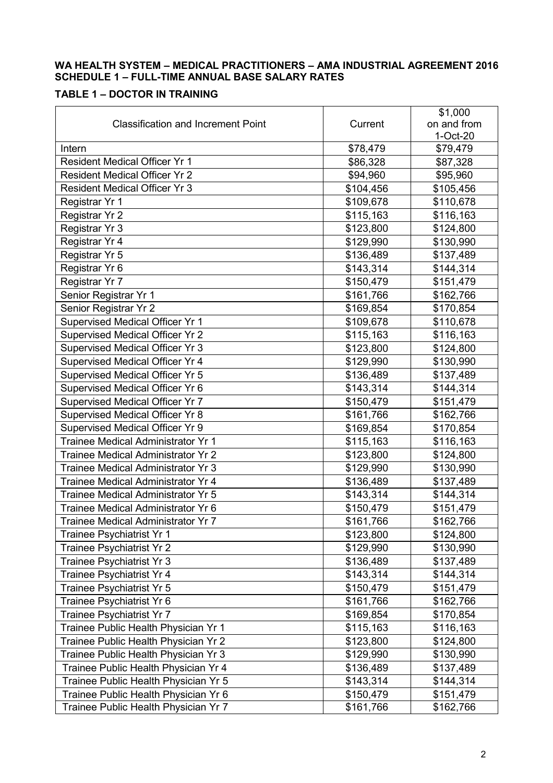### **WA HEALTH SYSTEM – MEDICAL PRACTITIONERS – AMA INDUSTRIAL AGREEMENT 2016 SCHEDULE 1 – FULL-TIME ANNUAL BASE SALARY RATES**

### **TABLE 1 – DOCTOR IN TRAINING**

|                                           |           | \$1,000     |
|-------------------------------------------|-----------|-------------|
| <b>Classification and Increment Point</b> | Current   | on and from |
|                                           |           | 1-Oct-20    |
| Intern                                    | \$78,479  | \$79,479    |
| <b>Resident Medical Officer Yr 1</b>      | \$86,328  | \$87,328    |
| <b>Resident Medical Officer Yr 2</b>      | \$94,960  | \$95,960    |
| <b>Resident Medical Officer Yr 3</b>      | \$104,456 | \$105,456   |
| Registrar Yr 1                            | \$109,678 | \$110,678   |
| Registrar Yr 2                            | \$115,163 | \$116,163   |
| Registrar Yr 3                            | \$123,800 | \$124,800   |
| Registrar Yr 4                            | \$129,990 | \$130,990   |
| Registrar Yr 5                            | \$136,489 | \$137,489   |
| Registrar Yr 6                            | \$143,314 | \$144,314   |
| Registrar Yr 7                            | \$150,479 | \$151,479   |
| Senior Registrar Yr 1                     | \$161,766 | \$162,766   |
| Senior Registrar Yr 2                     | \$169,854 | \$170,854   |
| Supervised Medical Officer Yr 1           | \$109,678 | \$110,678   |
| <b>Supervised Medical Officer Yr 2</b>    | \$115,163 | \$116,163   |
| Supervised Medical Officer Yr 3           | \$123,800 | \$124,800   |
| Supervised Medical Officer Yr 4           | \$129,990 | \$130,990   |
| Supervised Medical Officer Yr 5           | \$136,489 | \$137,489   |
| Supervised Medical Officer Yr 6           | \$143,314 | \$144,314   |
| Supervised Medical Officer Yr 7           | \$150,479 | \$151,479   |
| Supervised Medical Officer Yr 8           | \$161,766 | \$162,766   |
| Supervised Medical Officer Yr 9           | \$169,854 | \$170,854   |
| Trainee Medical Administrator Yr 1        | \$115,163 | \$116,163   |
| Trainee Medical Administrator Yr 2        | \$123,800 | \$124,800   |
| Trainee Medical Administrator Yr 3        | \$129,990 | \$130,990   |
| Trainee Medical Administrator Yr 4        | \$136,489 | \$137,489   |
| Trainee Medical Administrator Yr 5        | \$143,314 | \$144,314   |
| Trainee Medical Administrator Yr 6        | \$150,479 | \$151,479   |
| Trainee Medical Administrator Yr 7        | \$161,766 | \$162,766   |
| Trainee Psychiatrist Yr 1                 | \$123,800 | \$124,800   |
| Trainee Psychiatrist Yr 2                 | \$129,990 | \$130,990   |
| Trainee Psychiatrist Yr 3                 | \$136,489 | \$137,489   |
| Trainee Psychiatrist Yr 4                 | \$143,314 | \$144,314   |
| Trainee Psychiatrist Yr 5                 | \$150,479 | \$151,479   |
| Trainee Psychiatrist Yr 6                 | \$161,766 | \$162,766   |
| Trainee Psychiatrist Yr 7                 | \$169,854 | \$170,854   |
| Trainee Public Health Physician Yr 1      | \$115,163 | \$116,163   |
| Trainee Public Health Physician Yr 2      | \$123,800 | \$124,800   |
| Trainee Public Health Physician Yr 3      | \$129,990 | \$130,990   |
| Trainee Public Health Physician Yr 4      | \$136,489 | \$137,489   |
| Trainee Public Health Physician Yr 5      | \$143,314 | \$144,314   |
| Trainee Public Health Physician Yr 6      | \$150,479 | \$151,479   |
| Trainee Public Health Physician Yr 7      | \$161,766 | \$162,766   |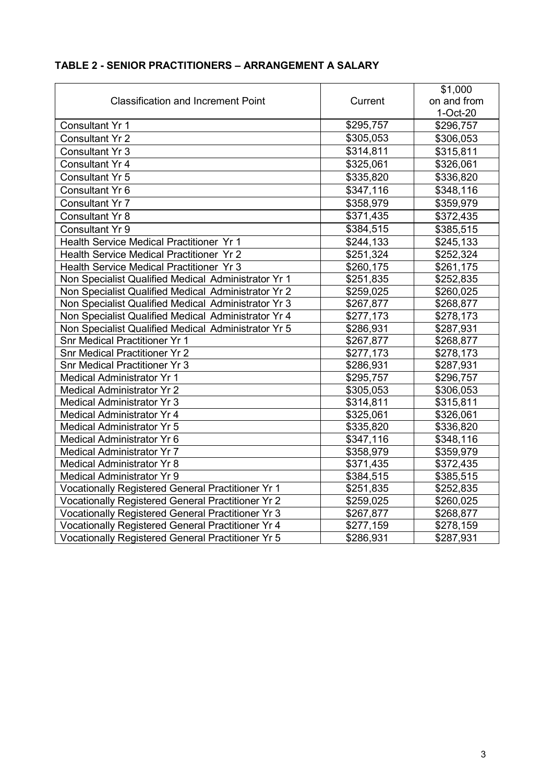|                                                     |                        | \$1,000     |
|-----------------------------------------------------|------------------------|-------------|
| <b>Classification and Increment Point</b>           | Current                | on and from |
|                                                     |                        | $1-Oct-20$  |
| Consultant Yr 1                                     | \$295,757              | \$296,757   |
| <b>Consultant Yr 2</b>                              | \$305,053              | \$306,053   |
| <b>Consultant Yr 3</b>                              | \$314,811              | \$315,811   |
| <b>Consultant Yr 4</b>                              | \$325,061              | \$326,061   |
| <b>Consultant Yr 5</b>                              | \$335,820              | \$336,820   |
| Consultant Yr 6                                     | \$347,116              | \$348,116   |
| <b>Consultant Yr 7</b>                              | \$358,979              | \$359,979   |
| <b>Consultant Yr 8</b>                              | \$371,435              | \$372,435   |
| <b>Consultant Yr 9</b>                              | \$384,515              | \$385,515   |
| Health Service Medical Practitioner Yr 1            | \$244,133              | \$245,133   |
| Health Service Medical Practitioner Yr 2            | \$251,324              | \$252,324   |
| Health Service Medical Practitioner Yr 3            | \$260,175              | \$261,175   |
| Non Specialist Qualified Medical Administrator Yr 1 | \$251,835              | \$252,835   |
| Non Specialist Qualified Medical Administrator Yr 2 | \$259,025              | \$260,025   |
| Non Specialist Qualified Medical Administrator Yr 3 | \$267,877              | \$268,877   |
| Non Specialist Qualified Medical Administrator Yr 4 | \$277,173              | \$278,173   |
| Non Specialist Qualified Medical Administrator Yr 5 | \$286,931              | \$287,931   |
| <b>Snr Medical Practitioner Yr 1</b>                | \$267,877              | \$268,877   |
| <b>Snr Medical Practitioner Yr 2</b>                | \$277,173              | \$278,173   |
| <b>Snr Medical Practitioner Yr 3</b>                | \$286,931<br>\$287,931 |             |
| <b>Medical Administrator Yr 1</b>                   | \$295,757              | \$296,757   |
| <b>Medical Administrator Yr 2</b>                   | \$305,053              | \$306,053   |
| <b>Medical Administrator Yr 3</b>                   | \$314,811              | \$315,811   |
| <b>Medical Administrator Yr 4</b>                   | \$325,061              | \$326,061   |
| <b>Medical Administrator Yr 5</b>                   | \$335,820              | \$336,820   |
| Medical Administrator Yr 6                          | \$347,116              | \$348,116   |
| <b>Medical Administrator Yr 7</b>                   | \$358,979              | \$359,979   |
| <b>Medical Administrator Yr 8</b>                   | \$371,435              | \$372,435   |
| Medical Administrator Yr 9                          | \$384,515              | \$385,515   |
| Vocationally Registered General Practitioner Yr 1   | \$251,835              | \$252,835   |
| Vocationally Registered General Practitioner Yr 2   | \$259,025              | \$260,025   |
| Vocationally Registered General Practitioner Yr 3   | \$267,877              | \$268,877   |
| Vocationally Registered General Practitioner Yr 4   | \$277,159              | \$278,159   |
| Vocationally Registered General Practitioner Yr 5   | \$286,931              | \$287,931   |

### **TABLE 2 - SENIOR PRACTITIONERS – ARRANGEMENT A SALARY**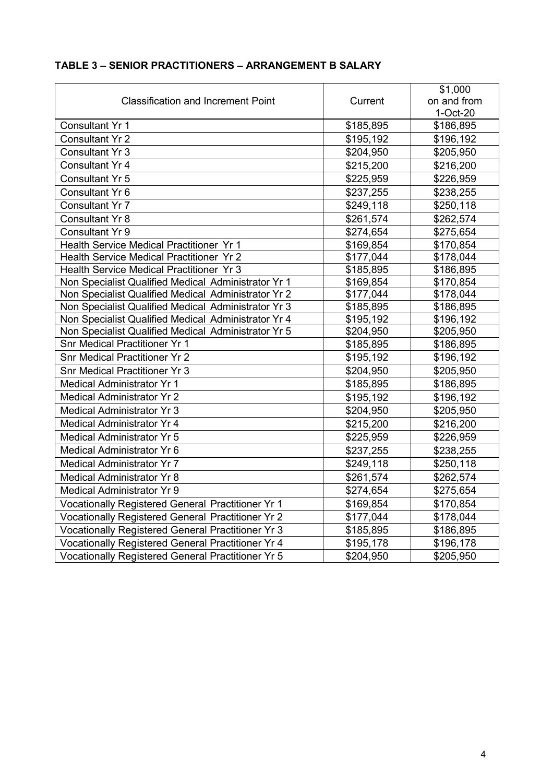|                                                     |                        | \$1,000     |
|-----------------------------------------------------|------------------------|-------------|
| <b>Classification and Increment Point</b>           | Current                | on and from |
|                                                     |                        | $1-Oct-20$  |
| <b>Consultant Yr 1</b>                              | \$185,895              | \$186,895   |
| <b>Consultant Yr 2</b>                              | \$195,192              | \$196,192   |
| <b>Consultant Yr 3</b>                              | \$204,950              | \$205,950   |
| <b>Consultant Yr 4</b>                              | \$215,200              | \$216,200   |
| <b>Consultant Yr 5</b>                              | \$225,959              | \$226,959   |
| Consultant Yr 6                                     | \$237,255              | \$238,255   |
| Consultant Yr 7                                     | \$249,118              | \$250,118   |
| <b>Consultant Yr 8</b>                              | \$261,574              | \$262,574   |
| Consultant Yr 9                                     | \$274,654              | \$275,654   |
| Health Service Medical Practitioner Yr 1            | \$169,854              | \$170,854   |
| <b>Health Service Medical Practitioner Yr 2</b>     | \$177,044              | \$178,044   |
| Health Service Medical Practitioner Yr 3            | \$185,895              | \$186,895   |
| Non Specialist Qualified Medical Administrator Yr 1 | \$169,854              | \$170,854   |
| Non Specialist Qualified Medical Administrator Yr 2 | \$177,044              | \$178,044   |
| Non Specialist Qualified Medical Administrator Yr 3 | \$185,895              | \$186,895   |
| Non Specialist Qualified Medical Administrator Yr 4 | \$195,192              | \$196,192   |
| Non Specialist Qualified Medical Administrator Yr 5 | \$204,950              | \$205,950   |
| <b>Snr Medical Practitioner Yr 1</b>                | \$185,895              | \$186,895   |
| <b>Snr Medical Practitioner Yr 2</b>                | \$195,192              | \$196,192   |
| <b>Snr Medical Practitioner Yr 3</b>                | \$204,950<br>\$205,950 |             |
| <b>Medical Administrator Yr 1</b>                   | \$185,895              | \$186,895   |
| <b>Medical Administrator Yr 2</b>                   | \$195,192              | \$196,192   |
| <b>Medical Administrator Yr 3</b>                   | \$204,950              | \$205,950   |
| <b>Medical Administrator Yr 4</b>                   | \$215,200              | \$216,200   |
| <b>Medical Administrator Yr 5</b>                   | \$225,959              | \$226,959   |
| Medical Administrator Yr 6                          | \$237,255              | \$238,255   |
| <b>Medical Administrator Yr 7</b>                   | \$249,118              | \$250,118   |
| <b>Medical Administrator Yr 8</b>                   | \$261,574              | \$262,574   |
| Medical Administrator Yr 9                          | \$274,654              | \$275,654   |
| Vocationally Registered General Practitioner Yr 1   | \$169,854              | \$170,854   |
| Vocationally Registered General Practitioner Yr 2   | \$177,044              | \$178,044   |
| Vocationally Registered General Practitioner Yr 3   | \$185,895              | \$186,895   |
| Vocationally Registered General Practitioner Yr 4   | \$195,178              | \$196,178   |
| Vocationally Registered General Practitioner Yr 5   | \$204,950              | \$205,950   |

### **TABLE 3 – SENIOR PRACTITIONERS – ARRANGEMENT B SALARY**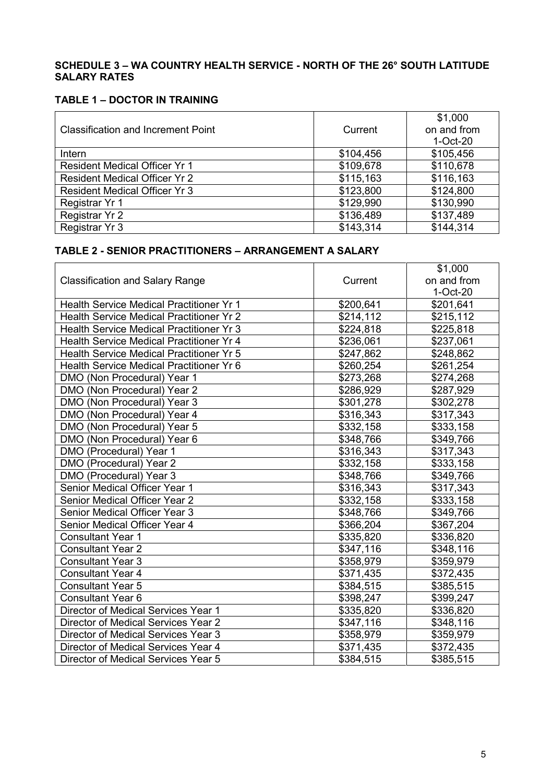#### **SCHEDULE 3 – WA COUNTRY HEALTH SERVICE - NORTH OF THE 26° SOUTH LATITUDE SALARY RATES**

#### **TABLE 1 – DOCTOR IN TRAINING**

|                                           |           | \$1,000     |
|-------------------------------------------|-----------|-------------|
| <b>Classification and Increment Point</b> | Current   | on and from |
|                                           |           | $1-Oct-20$  |
| Intern                                    | \$104,456 | \$105,456   |
| <b>Resident Medical Officer Yr 1</b>      | \$109,678 | \$110,678   |
| <b>Resident Medical Officer Yr 2</b>      | \$115,163 | \$116,163   |
| <b>Resident Medical Officer Yr 3</b>      | \$123,800 | \$124,800   |
| Registrar Yr 1                            | \$129,990 | \$130,990   |
| Registrar Yr 2                            | \$136,489 | \$137,489   |
| Registrar Yr 3                            | \$143,314 | \$144,314   |

### **TABLE 2 - SENIOR PRACTITIONERS – ARRANGEMENT A SALARY**

|                                                 |           | \$1,000     |
|-------------------------------------------------|-----------|-------------|
| <b>Classification and Salary Range</b>          | Current   | on and from |
|                                                 |           | 1-Oct-20    |
| Health Service Medical Practitioner Yr 1        | \$200,641 | \$201,641   |
| <b>Health Service Medical Practitioner Yr 2</b> | \$214,112 | \$215,112   |
| <b>Health Service Medical Practitioner Yr 3</b> | \$224,818 | \$225,818   |
| Health Service Medical Practitioner Yr 4        | \$236,061 | \$237,061   |
| <b>Health Service Medical Practitioner Yr 5</b> | \$247,862 | \$248,862   |
| Health Service Medical Practitioner Yr 6        | \$260,254 | \$261,254   |
| DMO (Non Procedural) Year 1                     | \$273,268 | \$274,268   |
| DMO (Non Procedural) Year 2                     | \$286,929 | \$287,929   |
| DMO (Non Procedural) Year 3                     | \$301,278 | \$302,278   |
| DMO (Non Procedural) Year 4                     | \$316,343 | \$317,343   |
| DMO (Non Procedural) Year 5                     | \$332,158 | \$333,158   |
| DMO (Non Procedural) Year 6                     | \$348,766 | \$349,766   |
| DMO (Procedural) Year 1                         | \$316,343 | \$317,343   |
| DMO (Procedural) Year 2                         | \$332,158 | \$333,158   |
| DMO (Procedural) Year 3                         | \$348,766 | \$349,766   |
| Senior Medical Officer Year 1                   | \$316,343 | \$317,343   |
| <b>Senior Medical Officer Year 2</b>            | \$332,158 | \$333,158   |
| Senior Medical Officer Year 3                   | \$348,766 | \$349,766   |
| Senior Medical Officer Year 4                   | \$366,204 | \$367,204   |
| <b>Consultant Year 1</b>                        | \$335,820 | \$336,820   |
| <b>Consultant Year 2</b>                        | \$347,116 | \$348,116   |
| <b>Consultant Year 3</b>                        | \$358,979 | \$359,979   |
| <b>Consultant Year 4</b>                        | \$371,435 | \$372,435   |
| <b>Consultant Year 5</b>                        | \$384,515 | \$385,515   |
| <b>Consultant Year 6</b>                        | \$398,247 | \$399,247   |
| Director of Medical Services Year 1             | \$335,820 | \$336,820   |
| Director of Medical Services Year 2             | \$347,116 | \$348,116   |
| Director of Medical Services Year 3             | \$358,979 | \$359,979   |
| Director of Medical Services Year 4             | \$371,435 | \$372,435   |
| Director of Medical Services Year 5             | \$384,515 | \$385,515   |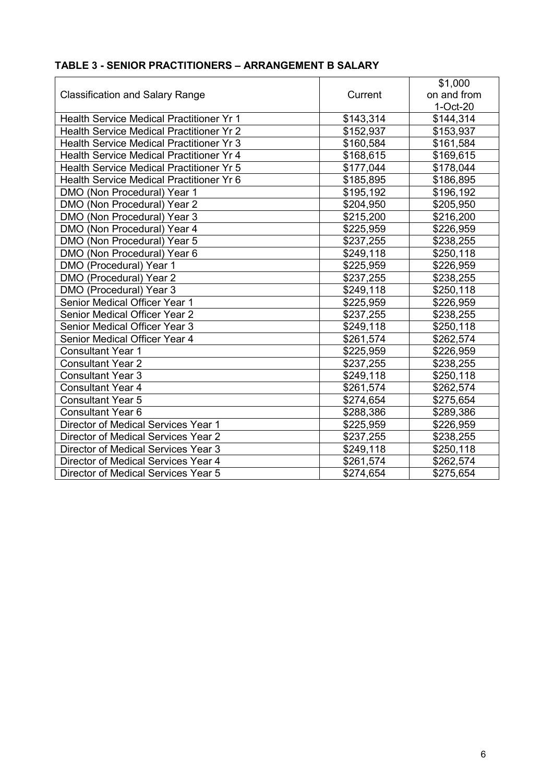|                                                 |           | \$1,000     |
|-------------------------------------------------|-----------|-------------|
| <b>Classification and Salary Range</b>          | Current   | on and from |
|                                                 |           | 1-Oct-20    |
| <b>Health Service Medical Practitioner Yr 1</b> | \$143,314 | \$144,314   |
| <b>Health Service Medical Practitioner Yr 2</b> | \$152,937 | \$153,937   |
| <b>Health Service Medical Practitioner Yr 3</b> | \$160,584 | \$161,584   |
| <b>Health Service Medical Practitioner Yr 4</b> | \$168,615 | \$169,615   |
| <b>Health Service Medical Practitioner Yr 5</b> | \$177,044 | \$178,044   |
| Health Service Medical Practitioner Yr 6        | \$185,895 | \$186,895   |
| DMO (Non Procedural) Year 1                     | \$195,192 | \$196,192   |
| DMO (Non Procedural) Year 2                     | \$204,950 | \$205,950   |
| DMO (Non Procedural) Year 3                     | \$215,200 | \$216,200   |
| DMO (Non Procedural) Year 4                     | \$225,959 | \$226,959   |
| DMO (Non Procedural) Year 5                     | \$237,255 | \$238,255   |
| DMO (Non Procedural) Year 6                     | \$249,118 | \$250,118   |
| DMO (Procedural) Year 1                         | \$225,959 | \$226,959   |
| DMO (Procedural) Year 2                         | \$237,255 | \$238,255   |
| DMO (Procedural) Year 3                         | \$249,118 | \$250,118   |
| Senior Medical Officer Year 1                   | \$225,959 | \$226,959   |
| Senior Medical Officer Year 2                   | \$237,255 | \$238,255   |
| Senior Medical Officer Year 3                   | \$249,118 | \$250,118   |
| Senior Medical Officer Year 4                   | \$261,574 | \$262,574   |
| <b>Consultant Year 1</b>                        | \$225,959 | \$226,959   |
| <b>Consultant Year 2</b>                        | \$237,255 | \$238,255   |
| <b>Consultant Year 3</b>                        | \$249,118 | \$250,118   |
| <b>Consultant Year 4</b>                        | \$261,574 | \$262,574   |
| <b>Consultant Year 5</b>                        | \$274,654 | \$275,654   |
| <b>Consultant Year 6</b>                        | \$288,386 | \$289,386   |
| Director of Medical Services Year 1             | \$225,959 | \$226,959   |
| Director of Medical Services Year 2             | \$237,255 | \$238,255   |
| Director of Medical Services Year 3             | \$249,118 | \$250,118   |
| Director of Medical Services Year 4             | \$261,574 | \$262,574   |
| Director of Medical Services Year 5             | \$274,654 | \$275,654   |

### **TABLE 3 - SENIOR PRACTITIONERS – ARRANGEMENT B SALARY**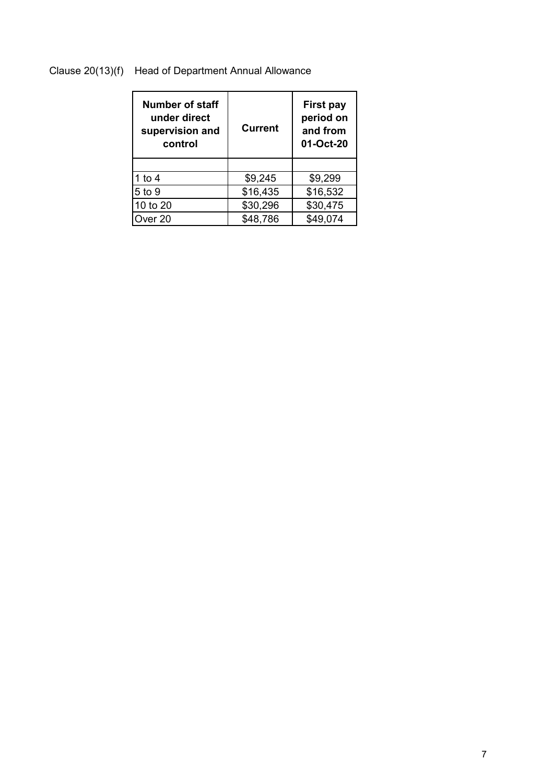### Clause 20(13)(f) Head of Department Annual Allowance

| Number of staff<br>under direct<br>supervision and<br>control | <b>Current</b> | <b>First pay</b><br>period on<br>and from<br>01-Oct-20 |
|---------------------------------------------------------------|----------------|--------------------------------------------------------|
|                                                               |                |                                                        |
| 1 to 4                                                        | \$9,245        | \$9,299                                                |
| 5 to 9                                                        | \$16,435       | \$16,532                                               |
| 10 to 20                                                      | \$30,296       | \$30,475                                               |
| Over 20                                                       | \$48,786       | \$49,074                                               |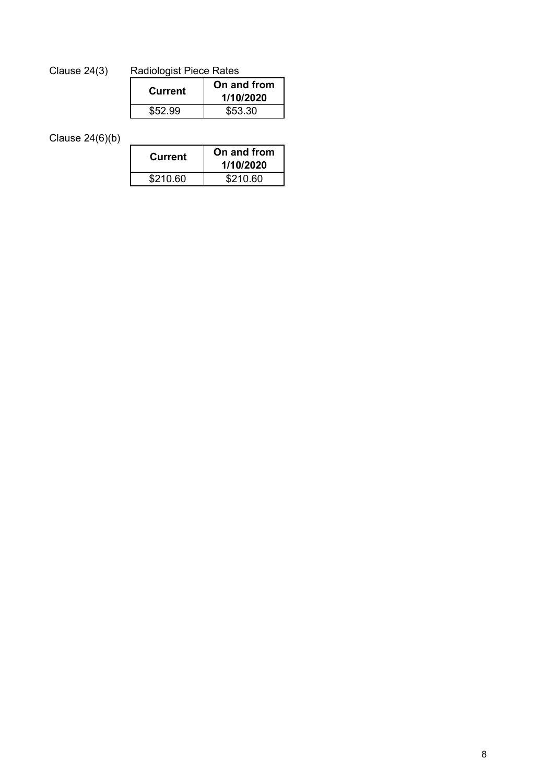# Clause 24(3) Radiologist Piece Rates

| Current | On and from<br>1/10/2020 |
|---------|--------------------------|
| \$52.99 | \$53.30                  |

Clause 24(6)(b)

| <b>Current</b> | On and from<br>1/10/2020 |
|----------------|--------------------------|
| \$210.60       | \$210.60                 |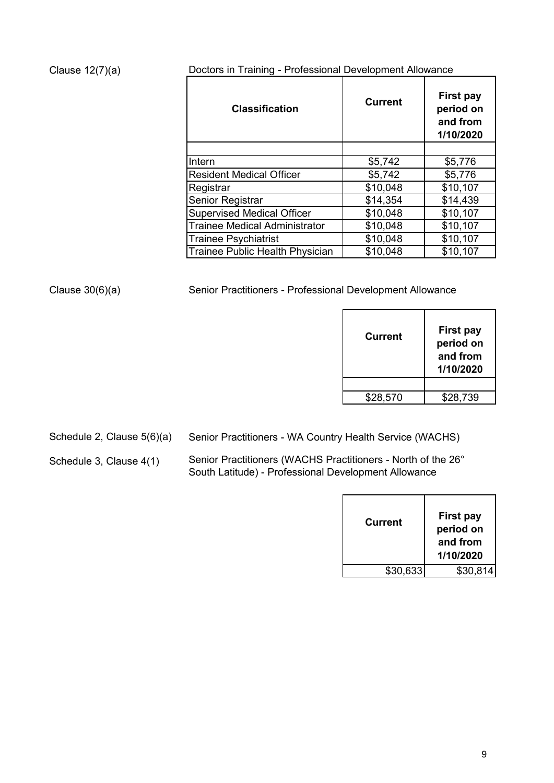### Clause 12(7)(a)

Doctors in Training - Professional Development Allowance

| <b>Classification</b>                | <b>Current</b> | <b>First pay</b><br>period on<br>and from<br>1/10/2020 |
|--------------------------------------|----------------|--------------------------------------------------------|
|                                      |                |                                                        |
| Intern                               | \$5,742        | \$5,776                                                |
| <b>Resident Medical Officer</b>      | \$5,742        | \$5,776                                                |
| Registrar                            | \$10,048       | \$10,107                                               |
| Senior Registrar                     | \$14,354       | \$14,439                                               |
| <b>Supervised Medical Officer</b>    | \$10,048       | \$10,107                                               |
| <b>Trainee Medical Administrator</b> | \$10,048       | \$10,107                                               |
| <b>Trainee Psychiatrist</b>          | \$10,048       | \$10,107                                               |
| Trainee Public Health Physician      | \$10,048       | \$10,107                                               |

Clause 30(6)(a) Senior Practitioners - Professional Development Allowance

| Current  | <b>First pay</b><br>period on<br>and from<br>1/10/2020 |
|----------|--------------------------------------------------------|
|          |                                                        |
| \$28,570 | \$28,739                                               |
|          |                                                        |

Schedule 2, Clause 5(6)(a)

Senior Practitioners - WA Country Health Service (WACHS)

Schedule 3, Clause 4(1) Senior Practitioners (WACHS Practitioners - North of the 26° South Latitude) - Professional Development Allowance

| <b>Current</b> | <b>First pay</b><br>period on<br>and from<br>1/10/2020 |
|----------------|--------------------------------------------------------|
| \$30,633       | \$30.814                                               |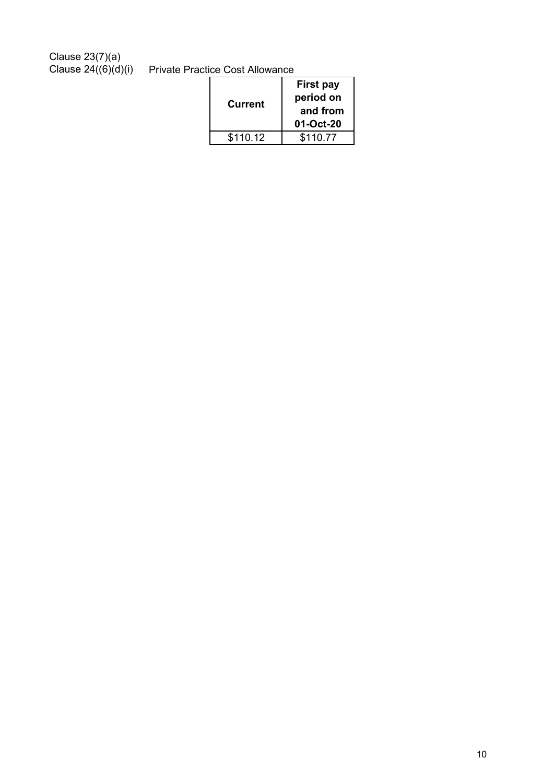Clause 23(7)(a)

Clause 24((6)(d)(i) Private Practice Cost Allowance

| <b>Current</b> | <b>First pay</b><br>period on<br>and from<br>01-Oct-20 |
|----------------|--------------------------------------------------------|
| \$110.12       | \$110.77                                               |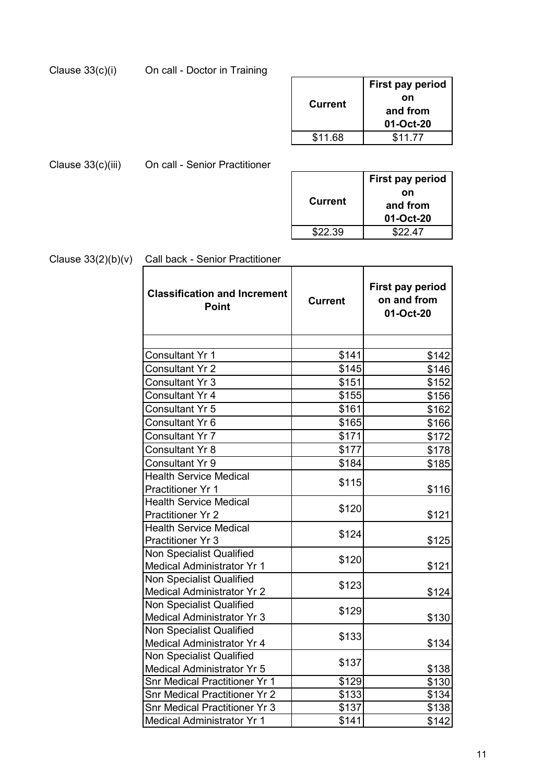|  | Clause 33(c)(i) | On call - Doctor in Training |
|--|-----------------|------------------------------|
|--|-----------------|------------------------------|

| <b>Current</b> | First pay period<br>on<br>and from<br>01-Oct-20 |
|----------------|-------------------------------------------------|
| \$11.68        | \$11.77                                         |

Clause 33(c)(iii) On call - Senior Practitioner

|                | <b>First pay period</b> |
|----------------|-------------------------|
| <b>Current</b> | on                      |
|                | and from                |
|                | 01-Oct-20               |
| \$22.39        | \$22.47                 |
|                |                         |

# Clause 33(2)(b)(v) Call back - Senior Practitioner

| <b>Classification and Increment</b><br><b>Point</b> | <b>Current</b> | First pay period<br>on and from<br>01-Oct-20 |
|-----------------------------------------------------|----------------|----------------------------------------------|
|                                                     |                |                                              |
| Consultant Yr 1                                     | \$141          | \$142                                        |
| <b>Consultant Yr 2</b>                              | \$145          | \$146                                        |
| Consultant Yr 3                                     | \$151          | \$152                                        |
| Consultant Yr 4                                     | \$155          | \$156                                        |
| Consultant Yr 5                                     | \$161          | \$162                                        |
| Consultant Yr 6                                     | \$165          | \$166                                        |
| <b>Consultant Yr 7</b>                              | \$171          | \$172                                        |
| <b>Consultant Yr 8</b>                              | \$177          | \$178                                        |
| <b>Consultant Yr 9</b>                              | \$184          | \$185                                        |
| <b>Health Service Medical</b>                       |                |                                              |
| <b>Practitioner Yr 1</b>                            | \$115          | \$116                                        |
| <b>Health Service Medical</b>                       |                |                                              |
| <b>Practitioner Yr 2</b>                            | \$120          | \$121                                        |
| <b>Health Service Medical</b>                       | \$124          |                                              |
| Practitioner Yr 3                                   |                | \$125                                        |
| <b>Non Specialist Qualified</b>                     | \$120          |                                              |
| Medical Administrator Yr 1                          |                | \$121                                        |
| <b>Non Specialist Qualified</b>                     | \$123          |                                              |
| Medical Administrator Yr 2                          |                | \$124                                        |
| Non Specialist Qualified                            | \$129          |                                              |
| Medical Administrator Yr 3                          |                | \$130                                        |
| Non Specialist Qualified                            | \$133          |                                              |
| Medical Administrator Yr 4                          |                | \$134                                        |
| <b>Non Specialist Qualified</b>                     | \$137          |                                              |
| <b>Medical Administrator Yr 5</b>                   |                | \$138                                        |
| <b>Snr Medical Practitioner Yr 1</b>                | \$129          | \$130                                        |
| <b>Snr Medical Practitioner Yr 2</b>                | \$133          | \$134                                        |
| <b>Snr Medical Practitioner Yr 3</b>                | \$137          | \$138                                        |
| Medical Administrator Yr 1                          | \$141          | \$142                                        |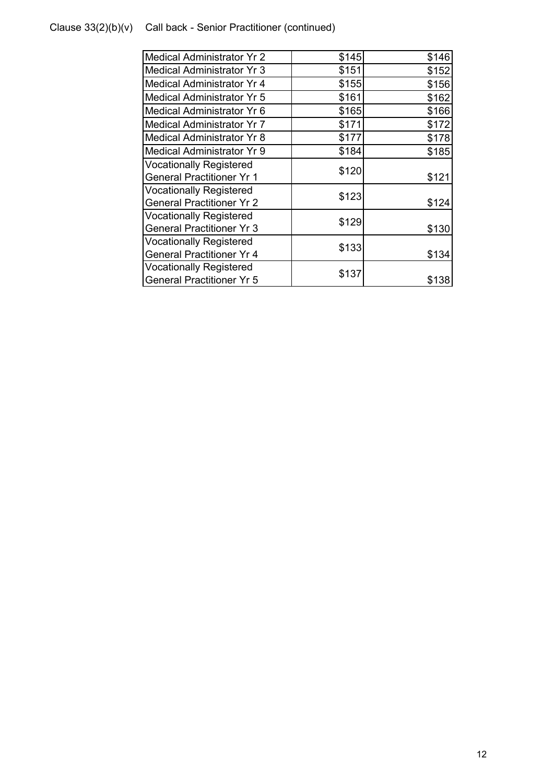## Clause 33(2)(b)(v) Call back - Senior Practitioner (continued)

| <b>Medical Administrator Yr 2</b> | \$145 | \$146 |
|-----------------------------------|-------|-------|
| <b>Medical Administrator Yr 3</b> | \$151 | \$152 |
| <b>Medical Administrator Yr 4</b> | \$155 | \$156 |
| <b>Medical Administrator Yr 5</b> | \$161 | \$162 |
| Medical Administrator Yr 6        | \$165 | \$166 |
| <b>Medical Administrator Yr 7</b> | \$171 | \$172 |
| <b>Medical Administrator Yr 8</b> | \$177 | \$178 |
| <b>Medical Administrator Yr 9</b> | \$184 | \$185 |
| <b>Vocationally Registered</b>    | \$120 |       |
| <b>General Practitioner Yr 1</b>  |       | \$121 |
| <b>Vocationally Registered</b>    | \$123 |       |
| <b>General Practitioner Yr 2</b>  |       | \$124 |
| <b>Vocationally Registered</b>    | \$129 |       |
| <b>General Practitioner Yr 3</b>  |       | \$130 |
| <b>Vocationally Registered</b>    | \$133 |       |
| <b>General Practitioner Yr 4</b>  |       | \$134 |
| <b>Vocationally Registered</b>    | \$137 |       |
| <b>General Practitioner Yr 5</b>  |       | \$138 |